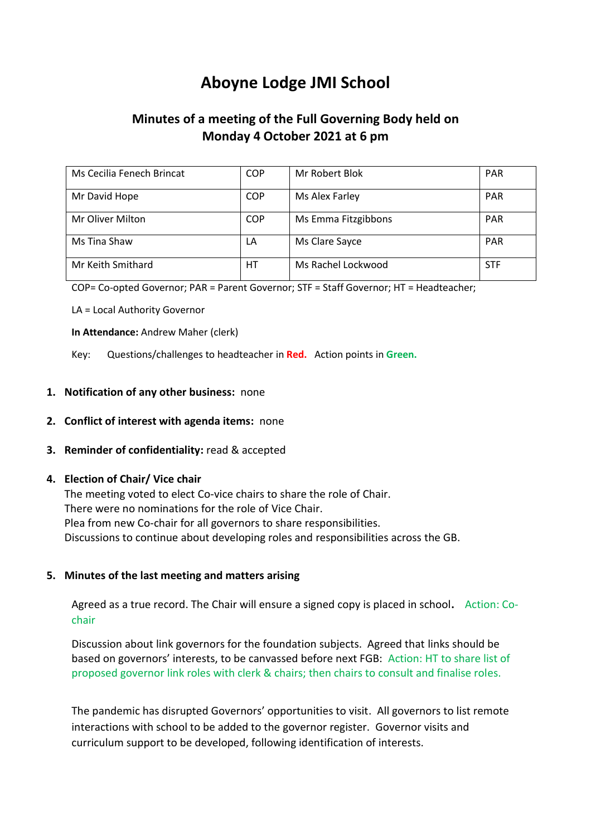# **Aboyne Lodge JMI School**

## **Minutes of a meeting of the Full Governing Body held on Monday 4 October 2021 at 6 pm**

| Ms Cecilia Fenech Brincat | <b>COP</b> | Mr Robert Blok      | <b>PAR</b> |
|---------------------------|------------|---------------------|------------|
| Mr David Hope             | <b>COP</b> | Ms Alex Farley      | <b>PAR</b> |
| Mr Oliver Milton          | <b>COP</b> | Ms Emma Fitzgibbons | <b>PAR</b> |
| Ms Tina Shaw              | LA         | Ms Clare Sayce      | <b>PAR</b> |
| Mr Keith Smithard         | НT         | Ms Rachel Lockwood  | <b>STF</b> |

COP= Co-opted Governor; PAR = Parent Governor; STF = Staff Governor; HT = Headteacher;

LA = Local Authority Governor

**In Attendance:** Andrew Maher (clerk)

Key: Questions/challenges to headteacher in **Red.** Action points in **Green.**

#### **1. Notification of any other business:** none

#### **2. Conflict of interest with agenda items:** none

#### **3. Reminder of confidentiality:** read & accepted

#### **4. Election of Chair/ Vice chair**

The meeting voted to elect Co-vice chairs to share the role of Chair. There were no nominations for the role of Vice Chair. Plea from new Co-chair for all governors to share responsibilities. Discussions to continue about developing roles and responsibilities across the GB.

#### **5. Minutes of the last meeting and matters arising**

Agreed as a true record. The Chair will ensure a signed copy is placed in school**.** Action: Cochair

Discussion about link governors for the foundation subjects. Agreed that links should be based on governors' interests, to be canvassed before next FGB: Action: HT to share list of proposed governor link roles with clerk & chairs; then chairs to consult and finalise roles.

The pandemic has disrupted Governors' opportunities to visit. All governors to list remote interactions with school to be added to the governor register. Governor visits and curriculum support to be developed, following identification of interests.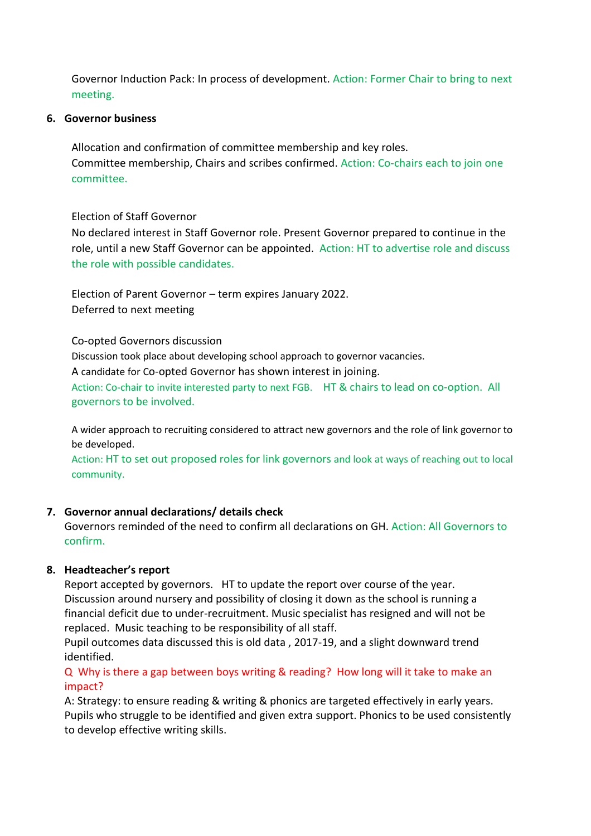Governor Induction Pack: In process of development. Action: Former Chair to bring to next meeting.

#### **6. Governor business**

Allocation and confirmation of committee membership and key roles. Committee membership, Chairs and scribes confirmed. Action: Co-chairs each to join one committee.

#### Election of Staff Governor

No declared interest in Staff Governor role. Present Governor prepared to continue in the role, until a new Staff Governor can be appointed. Action: HT to advertise role and discuss the role with possible candidates.

Election of Parent Governor – term expires January 2022. Deferred to next meeting

Co-opted Governors discussion

Discussion took place about developing school approach to governor vacancies.

A candidate for Co-opted Governor has shown interest in joining.

Action: Co-chair to invite interested party to next FGB. HT & chairs to lead on co-option. All governors to be involved.

A wider approach to recruiting considered to attract new governors and the role of link governor to be developed.

Action: HT to set out proposed roles for link governors and look at ways of reaching out to local community.

## **7. Governor annual declarations/ details check**

Governors reminded of the need to confirm all declarations on GH. Action: All Governors to confirm.

## **8. Headteacher's report**

Report accepted by governors. HT to update the report over course of the year. Discussion around nursery and possibility of closing it down as the school is running a financial deficit due to under-recruitment. Music specialist has resigned and will not be replaced. Music teaching to be responsibility of all staff.

Pupil outcomes data discussed this is old data , 2017-19, and a slight downward trend identified.

Q Why is there a gap between boys writing & reading? How long will it take to make an impact?

A: Strategy: to ensure reading & writing & phonics are targeted effectively in early years. Pupils who struggle to be identified and given extra support. Phonics to be used consistently to develop effective writing skills.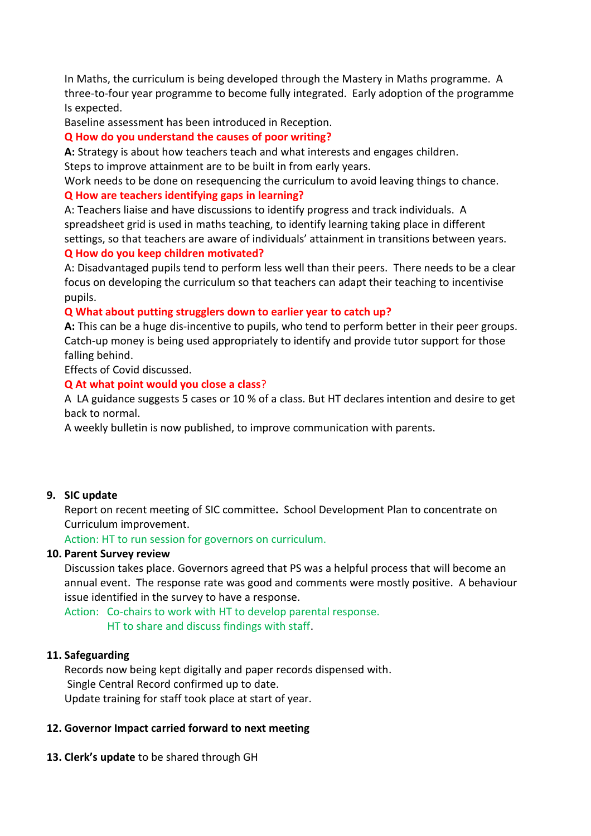In Maths, the curriculum is being developed through the Mastery in Maths programme. A three-to-four year programme to become fully integrated. Early adoption of the programme Is expected.

Baseline assessment has been introduced in Reception.

#### **Q How do you understand the causes of poor writing?**

**A:** Strategy is about how teachers teach and what interests and engages children. Steps to improve attainment are to be built in from early years.

Work needs to be done on resequencing the curriculum to avoid leaving things to chance.

### **Q How are teachers identifying gaps in learning?**

A: Teachers liaise and have discussions to identify progress and track individuals. A spreadsheet grid is used in maths teaching, to identify learning taking place in different settings, so that teachers are aware of individuals' attainment in transitions between years.

#### **Q How do you keep children motivated?**

A: Disadvantaged pupils tend to perform less well than their peers. There needs to be a clear focus on developing the curriculum so that teachers can adapt their teaching to incentivise pupils.

#### **Q What about putting strugglers down to earlier year to catch up?**

**A:** This can be a huge dis-incentive to pupils, who tend to perform better in their peer groups. Catch-up money is being used appropriately to identify and provide tutor support for those falling behind.

Effects of Covid discussed.

#### **Q At what point would you close a class**?

A LA guidance suggests 5 cases or 10 % of a class. But HT declares intention and desire to get back to normal.

A weekly bulletin is now published, to improve communication with parents.

## **9. SIC update**

Report on recent meeting of SIC committee**.** School Development Plan to concentrate on Curriculum improvement.

Action: HT to run session for governors on curriculum.

#### **10. Parent Survey review**

Discussion takes place. Governors agreed that PS was a helpful process that will become an annual event. The response rate was good and comments were mostly positive. A behaviour issue identified in the survey to have a response.

Action: Co-chairs to work with HT to develop parental response. HT to share and discuss findings with staff.

#### **11. Safeguarding**

Records now being kept digitally and paper records dispensed with. Single Central Record confirmed up to date. Update training for staff took place at start of year.

## **12. Governor Impact carried forward to next meeting**

**13. Clerk's update** to be shared through GH